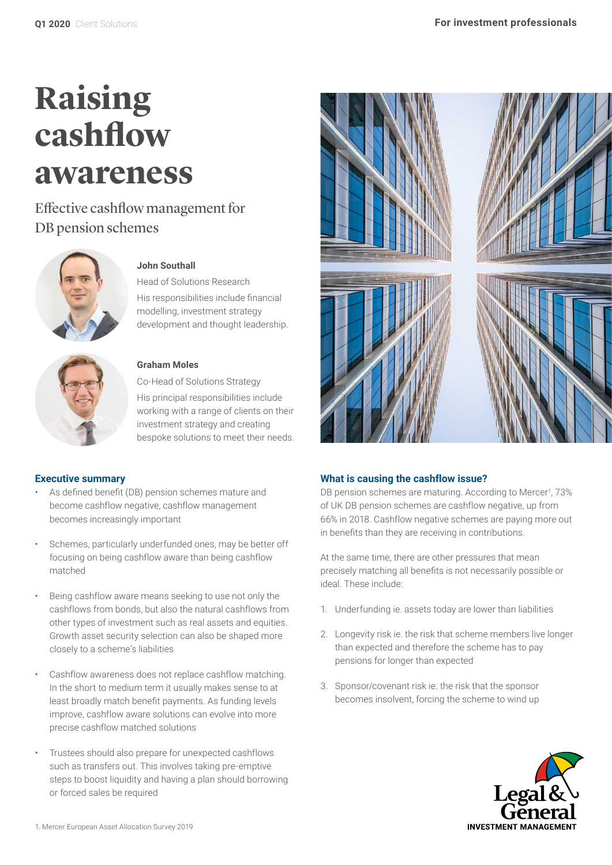# **Raising cashflow awareness**

Effective cashflow management for DB pension schemes



# **John Southall**

Head of Solutions Research His responsibilities include financial modelling, investment strategy development and thought leadership.



# **Graham Moles**

Co-Head of Solutions Strategy His principal responsibilities include working with a range of clients on their investment strategy and creating bespoke solutions to meet their needs.

## **Executive summary**

- As defined benefit (DB) pension schemes mature and become cashflow negative, cashflow management becomes increasingly important
- Schemes, particularly underfunded ones, may be better off focusing on being cashflow aware than being cashflow matched
- Being cashflow aware means seeking to use not only the cashflows from bonds, but also the natural cashflows from other types of investment such as real assets and equities. Growth asset security selection can also be shaped more closely to a scheme's liabilities
- Cashflow awareness does not replace cashflow matching. In the short to medium term it usually makes sense to at least broadly match benefit payments. As funding levels improve, cashflow aware solutions can evolve into more precise cashflow matched solutions
- Trustees should also prepare for unexpected cashflows such as transfers out. This involves taking pre-emptive steps to boost liquidity and having a plan should borrowing or forced sales be required



# **What is causing the cashflow issue?**

DB pension schemes are maturing. According to Mercer<sup>1</sup>, 73% of UK DB pension schemes are cashflow negative, up from 66% in 2018. Cashflow negative schemes are paying more out in benefits than they are receiving in contributions.

At the same time, there are other pressures that mean precisely matching all benefits is not necessarily possible or ideal. These include:

- 1. Underfunding ie. assets today are lower than liabilities
- 2. Longevity risk ie. the risk that scheme members live longer than expected and therefore the scheme has to pay pensions for longer than expected
- 3. Sponsor/covenant risk ie. the risk that the sponsor becomes insolvent, forcing the scheme to wind up

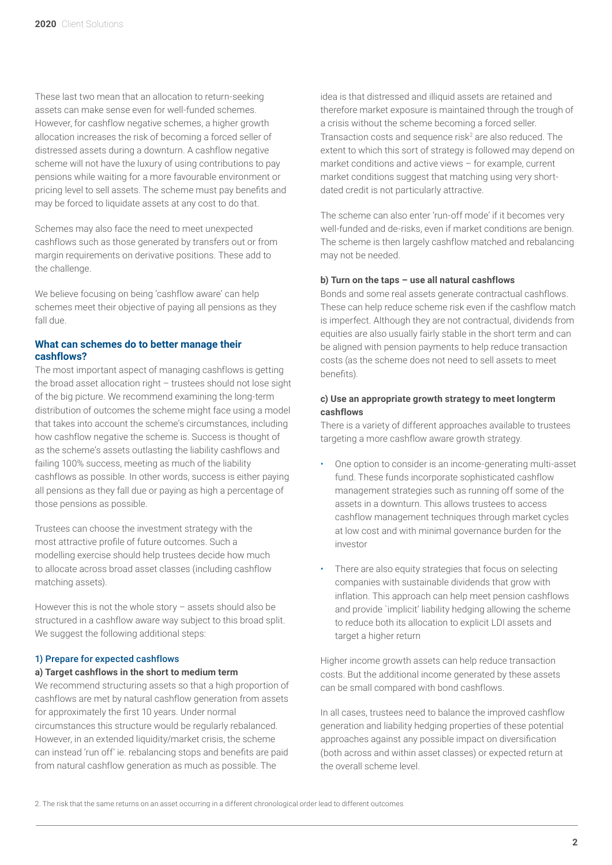These last two mean that an allocation to return-seeking assets can make sense even for well-funded schemes. However, for cashflow negative schemes, a higher growth allocation increases the risk of becoming a forced seller of distressed assets during a downturn. A cashflow negative scheme will not have the luxury of using contributions to pay pensions while waiting for a more favourable environment or pricing level to sell assets. The scheme must pay benefits and may be forced to liquidate assets at any cost to do that.

Schemes may also face the need to meet unexpected cashflows such as those generated by transfers out or from margin requirements on derivative positions. These add to the challenge.

We believe focusing on being 'cashflow aware' can help schemes meet their objective of paying all pensions as they fall due.

## **What can schemes do to better manage their cashflows?**

The most important aspect of managing cashflows is getting the broad asset allocation right – trustees should not lose sight of the big picture. We recommend examining the long-term distribution of outcomes the scheme might face using a model that takes into account the scheme's circumstances, including how cashflow negative the scheme is. Success is thought of as the scheme's assets outlasting the liability cashflows and failing 100% success, meeting as much of the liability cashflows as possible. In other words, success is either paying all pensions as they fall due or paying as high a percentage of those pensions as possible.

Trustees can choose the investment strategy with the most attractive profile of future outcomes. Such a modelling exercise should help trustees decide how much to allocate across broad asset classes (including cashflow matching assets).

However this is not the whole story – assets should also be structured in a cashflow aware way subject to this broad split. We suggest the following additional steps:

#### 1) Prepare for expected cashflows

#### **a) Target cashflows in the short to medium term**

We recommend structuring assets so that a high proportion of cashflows are met by natural cashflow generation from assets for approximately the first 10 years. Under normal circumstances this structure would be regularly rebalanced. However, in an extended liquidity/market crisis, the scheme can instead 'run off' ie. rebalancing stops and benefits are paid from natural cashflow generation as much as possible. The

idea is that distressed and illiquid assets are retained and therefore market exposure is maintained through the trough of a crisis without the scheme becoming a forced seller. Transaction costs and sequence risk<sup>2</sup> are also reduced. The extent to which this sort of strategy is followed may depend on market conditions and active views – for example, current market conditions suggest that matching using very shortdated credit is not particularly attractive.

The scheme can also enter 'run-off mode' if it becomes very well-funded and de-risks, even if market conditions are benign. The scheme is then largely cashflow matched and rebalancing may not be needed.

#### **b) Turn on the taps – use all natural cashflows**

Bonds and some real assets generate contractual cashflows. These can help reduce scheme risk even if the cashflow match is imperfect. Although they are not contractual, dividends from equities are also usually fairly stable in the short term and can be aligned with pension payments to help reduce transaction costs (as the scheme does not need to sell assets to meet benefits).

## **c) Use an appropriate growth strategy to meet longterm cashflows**

There is a variety of different approaches available to trustees targeting a more cashflow aware growth strategy.

- One option to consider is an income-generating multi-asset fund. These funds incorporate sophisticated cashflow management strategies such as running off some of the assets in a downturn. This allows trustees to access cashflow management techniques through market cycles at low cost and with minimal governance burden for the investor
- There are also equity strategies that focus on selecting companies with sustainable dividends that grow with inflation. This approach can help meet pension cashflows and provide `implicit' liability hedging allowing the scheme to reduce both its allocation to explicit LDI assets and target a higher return

Higher income growth assets can help reduce transaction costs. But the additional income generated by these assets can be small compared with bond cashflows.

In all cases, trustees need to balance the improved cashflow generation and liability hedging properties of these potential approaches against any possible impact on diversification (both across and within asset classes) or expected return at the overall scheme level.

<sup>2.</sup> The risk that the same returns on an asset occurring in a different chronological order lead to different outcomes